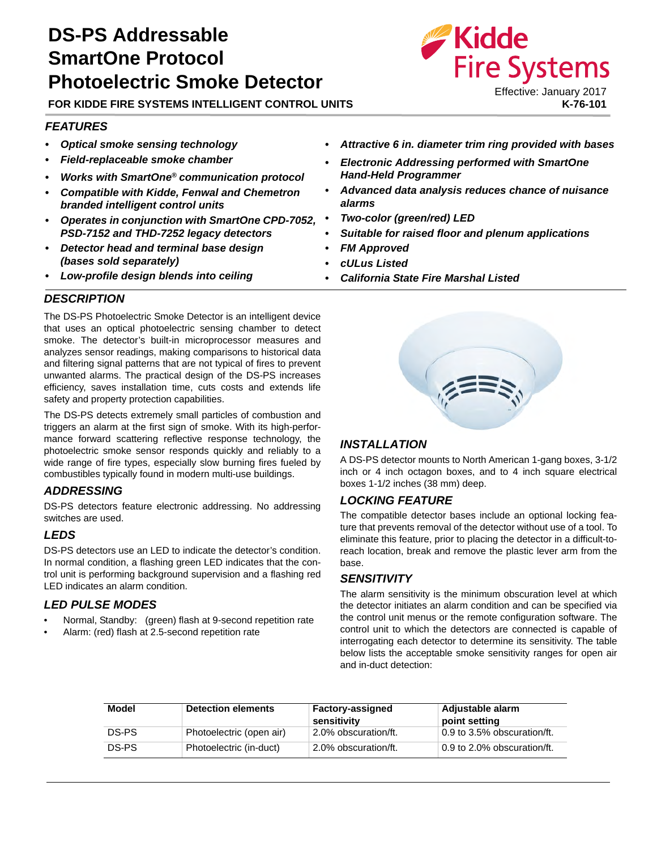# **DS-PS Addressable SmartOne Protocol Photoelectric Smoke Detector**

**FOR KIDDE FIRE SYSTEMS INTELLIGENT CONTROL UNITS**

#### *FEATURES*

- *Optical smoke sensing technology*
- *Field-replaceable smoke chamber*
- *Works with SmartOne® communication protocol*
- *Compatible with Kidde, Fenwal and Chemetron branded intelligent control units*
- *Operates in conjunction with SmartOne CPD-7052, PSD-7152 and THD-7252 legacy detectors*
- *Detector head and terminal base design (bases sold separately)*
- *Low-profile design blends into ceiling*
- *Attractive 6 in. diameter trim ring provided with bases*
- *Electronic Addressing performed with SmartOne Hand-Held Programmer*
- *Advanced data analysis reduces chance of nuisance alarms*
- *Two-color (green/red) LED*
- *Suitable for raised floor and plenum applications*
- *FM Approved*
- *cULus Listed*
- *California State Fire Marshal Listed*

#### *DESCRIPTION*

The DS-PS Photoelectric Smoke Detector is an intelligent device that uses an optical photoelectric sensing chamber to detect smoke. The detector's built-in microprocessor measures and analyzes sensor readings, making comparisons to historical data and filtering signal patterns that are not typical of fires to prevent unwanted alarms. The practical design of the DS-PS increases efficiency, saves installation time, cuts costs and extends life safety and property protection capabilities.

The DS-PS detects extremely small particles of combustion and triggers an alarm at the first sign of smoke. With its high-performance forward scattering reflective response technology, the photoelectric smoke sensor responds quickly and reliably to a wide range of fire types, especially slow burning fires fueled by combustibles typically found in modern multi-use buildings.

#### *ADDRESSING*

DS-PS detectors feature electronic addressing. No addressing switches are used.

#### *LEDS*

DS-PS detectors use an LED to indicate the detector's condition. In normal condition, a flashing green LED indicates that the control unit is performing background supervision and a flashing red LED indicates an alarm condition.

#### *LED PULSE MODES*

- Normal, Standby: (green) flash at 9-second repetition rate
- Alarm: (red) flash at 2.5-second repetition rate



#### *INSTALLATION*

A DS-PS detector mounts to North American 1-gang boxes, 3-1/2 inch or 4 inch octagon boxes, and to 4 inch square electrical boxes 1-1/2 inches (38 mm) deep.

#### *LOCKING FEATURE*

The compatible detector bases include an optional locking feature that prevents removal of the detector without use of a tool. To eliminate this feature, prior to placing the detector in a difficult-toreach location, break and remove the plastic lever arm from the base.

#### *SENSITIVITY*

The alarm sensitivity is the minimum obscuration level at which the detector initiates an alarm condition and can be specified via the control unit menus or the remote configuration software. The control unit to which the detectors are connected is capable of interrogating each detector to determine its sensitivity. The table below lists the acceptable smoke sensitivity ranges for open air and in-duct detection:

| Model | <b>Detection elements</b> | <b>Factory-assigned</b><br>sensitivity | Adjustable alarm<br>point setting |
|-------|---------------------------|----------------------------------------|-----------------------------------|
| DS-PS | Photoelectric (open air)  | 2.0% obscuration/ft.                   | 0.9 to 3.5% obscuration/ft.       |
| DS-PS | Photoelectric (in-duct)   | 2.0% obscuration/ft.                   | 0.9 to 2.0% obscuration/ft.       |

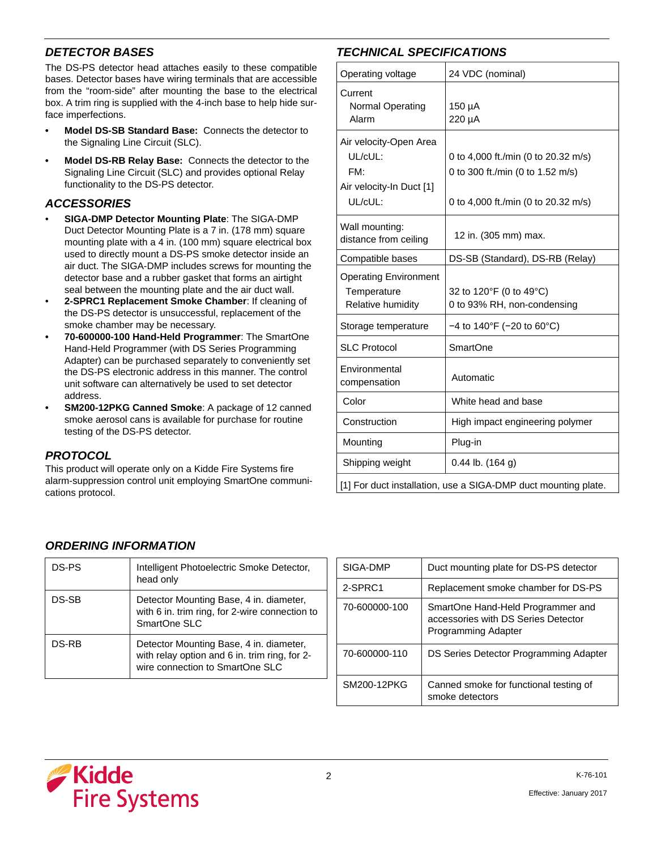## *DETECTOR BASES*

The DS-PS detector head attaches easily to these compatible bases. Detector bases have wiring terminals that are accessible from the "room-side" after mounting the base to the electrical box. A trim ring is supplied with the 4-inch base to help hide surface imperfections.

- **Model DS-SB Standard Base:** Connects the detector to the Signaling Line Circuit (SLC).
- **Model DS-RB Relay Base:** Connects the detector to the Signaling Line Circuit (SLC) and provides optional Relay functionality to the DS-PS detector.

## *ACCESSORIES*

- **SIGA-DMP Detector Mounting Plate**: The SIGA-DMP Duct Detector Mounting Plate is a 7 in. (178 mm) square mounting plate with a 4 in. (100 mm) square electrical box used to directly mount a DS-PS smoke detector inside an air duct. The SIGA-DMP includes screws for mounting the detector base and a rubber gasket that forms an airtight seal between the mounting plate and the air duct wall.
- **2-SPRC1 Replacement Smoke Chamber**: If cleaning of the DS-PS detector is unsuccessful, replacement of the smoke chamber may be necessary.
- **70-600000-100 Hand-Held Programmer**: The SmartOne Hand-Held Programmer (with DS Series Programming Adapter) can be purchased separately to conveniently set the DS-PS electronic address in this manner. The control unit software can alternatively be used to set detector address.
- **SM200-12PKG Canned Smoke**: A package of 12 canned smoke aerosol cans is available for purchase for routine testing of the DS-PS detector.

#### *PROTOCOL*

This product will operate only on a Kidde Fire Systems fire alarm-suppression control unit employing SmartOne communications protocol.

## *TECHNICAL SPECIFICATIONS*

| Operating voltage                                                               | 24 VDC (nominal)                                                                                               |  |
|---------------------------------------------------------------------------------|----------------------------------------------------------------------------------------------------------------|--|
| Current<br>Normal Operating<br>Alarm                                            | 150 µA<br>220 µA                                                                                               |  |
| Air velocity-Open Area<br>UL/cUL:<br>FM:<br>Air velocity-In Duct [1]<br>UL/cUL: | 0 to 4,000 ft./min (0 to 20.32 m/s)<br>0 to 300 ft./min (0 to 1.52 m/s)<br>0 to 4,000 ft./min (0 to 20.32 m/s) |  |
| Wall mounting:<br>distance from ceiling                                         | 12 in. (305 mm) max.                                                                                           |  |
| Compatible bases                                                                | DS-SB (Standard), DS-RB (Relay)                                                                                |  |
| <b>Operating Environment</b><br>Temperature<br>Relative humidity                | 32 to 120°F (0 to 49°C)<br>0 to 93% RH, non-condensing                                                         |  |
| Storage temperature                                                             | $-4$ to 140°F (-20 to 60°C)                                                                                    |  |
| <b>SLC Protocol</b>                                                             | <b>SmartOne</b>                                                                                                |  |
| Environmental<br>compensation                                                   | Automatic                                                                                                      |  |
| Color                                                                           | White head and base                                                                                            |  |
| Construction                                                                    | High impact engineering polymer                                                                                |  |
| Mounting                                                                        | Plug-in                                                                                                        |  |
| Shipping weight                                                                 | $0.44$ lb. $(164$ g)                                                                                           |  |
| [1] For duct installation, use a SIGA-DMP duct mounting plate.                  |                                                                                                                |  |

## *ORDERING INFORMATION*

| DS-PS | Intelligent Photoelectric Smoke Detector,<br>head only                                                                      |
|-------|-----------------------------------------------------------------------------------------------------------------------------|
| DS-SB | Detector Mounting Base, 4 in. diameter,<br>with 6 in. trim ring, for 2-wire connection to<br>SmartOne SLC                   |
| DS-RB | Detector Mounting Base, 4 in. diameter,<br>with relay option and 6 in. trim ring, for 2-<br>wire connection to SmartOne SLC |

| SIGA-DMP      | Duct mounting plate for DS-PS detector                                                          |
|---------------|-------------------------------------------------------------------------------------------------|
| 2-SPRC1       | Replacement smoke chamber for DS-PS                                                             |
| 70-600000-100 | SmartOne Hand-Held Programmer and<br>accessories with DS Series Detector<br>Programming Adapter |
| 70-600000-110 | DS Series Detector Programming Adapter                                                          |
| SM200-12PKG   | Canned smoke for functional testing of<br>smoke detectors                                       |

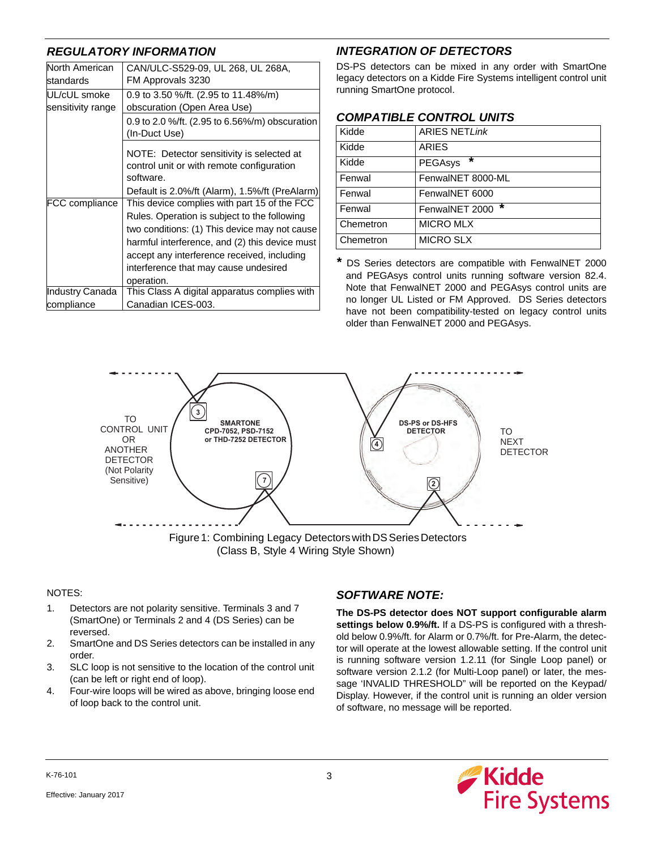## *REGULATORY INFORMATION*

| North American<br>standards | CAN/ULC-S529-09, UL 268, UL 268A,<br>FM Approvals 3230                                              |
|-----------------------------|-----------------------------------------------------------------------------------------------------|
| UL/cUL smoke                | 0.9 to 3.50 %/ft. (2.95 to 11.48%/m)                                                                |
| sensitivity range           | obscuration (Open Area Use)                                                                         |
|                             | 0.9 to 2.0 %/ft. (2.95 to 6.56%/m) obscuration<br>(In-Duct Use)                                     |
|                             | NOTE: Detector sensitivity is selected at<br>control unit or with remote configuration<br>software. |
|                             | Default is 2.0%/ft (Alarm), 1.5%/ft (PreAlarm)                                                      |
| FCC compliance              | This device complies with part 15 of the FCC                                                        |
|                             | Rules. Operation is subject to the following                                                        |
|                             | two conditions: (1) This device may not cause                                                       |
|                             | harmful interference, and (2) this device must                                                      |
|                             | accept any interference received, including                                                         |
|                             | interference that may cause undesired                                                               |
|                             | operation.                                                                                          |
| Industry Canada             | This Class A digital apparatus complies with                                                        |
| compliance                  | Canadian ICES-003.                                                                                  |

## *INTEGRATION OF DETECTORS*

DS-PS detectors can be mixed in any order with SmartOne legacy detectors on a Kidde Fire Systems intelligent control unit running SmartOne protocol.

## *COMPATIBLE CONTROL UNITS*

| Kidde     | <b>ARIES NETLink</b> |
|-----------|----------------------|
| Kidde     | <b>ARIES</b>         |
| Kidde     | ×<br><b>PEGAsys</b>  |
| Fenwal    | FenwalNET 8000-ML    |
| Fenwal    | FenwalNET 6000       |
| Fenwal    | *<br>FenwalNET 2000  |
| Chemetron | <b>MICRO MLX</b>     |
| Chemetron | <b>MICRO SLX</b>     |

*\** DS Series detectors are compatible with FenwalNET 2000 and PEGAsys control units running software version 82.4. Note that FenwalNET 2000 and PEGAsys control units are no longer UL Listed or FM Approved. DS Series detectors have not been compatibility-tested on legacy control units older than FenwalNET 2000 and PEGAsys.



(Class B, Style 4 Wiring Style Shown)

#### NOTES:

- 1. Detectors are not polarity sensitive. Terminals 3 and 7 (SmartOne) or Terminals 2 and 4 (DS Series) can be reversed.
- 2. SmartOne and DS Series detectors can be installed in any order.
- 3. SLC loop is not sensitive to the location of the control unit (can be left or right end of loop).
- 4. Four-wire loops will be wired as above, bringing loose end of loop back to the control unit.

## *SOFTWARE NOTE:*

**The DS-PS detector does NOT support configurable alarm settings below 0.9%/ft.** If a DS-PS is configured with a threshold below 0.9%/ft. for Alarm or 0.7%/ft. for Pre-Alarm, the detector will operate at the lowest allowable setting. If the control unit is running software version 1.2.11 (for Single Loop panel) or software version 2.1.2 (for Multi-Loop panel) or later, the message 'INVALID THRESHOLD" will be reported on the Keypad/ Display. However, if the control unit is running an older version of software, no message will be reported.